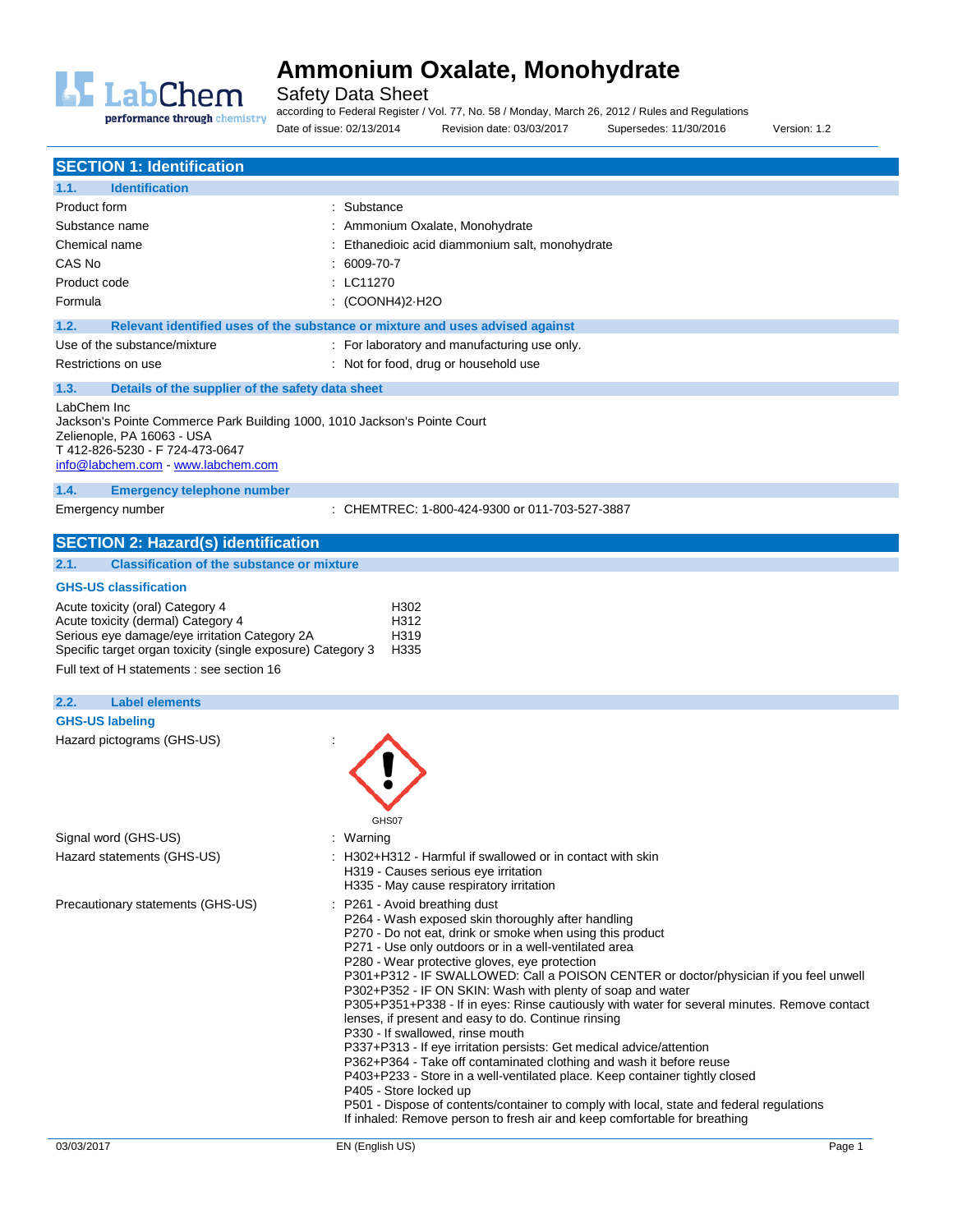

Safety Data Sheet

performance through chemistry

according to Federal Register / Vol. 77, No. 58 / Monday, March 26, 2012 / Rules and Regulations Date of issue: 02/13/2014 Revision date: 03/03/2017 Supersedes: 11/30/2016 Version: 1.2

| <b>SECTION 1: Identification</b>                                                                                                                                                                                       |                                                                                                                                                                                                                                                                                                                                                                                                                                                                                                                                                                                                                                                                                                                                                                                                                                                                                                                                                                                                                                               |  |  |
|------------------------------------------------------------------------------------------------------------------------------------------------------------------------------------------------------------------------|-----------------------------------------------------------------------------------------------------------------------------------------------------------------------------------------------------------------------------------------------------------------------------------------------------------------------------------------------------------------------------------------------------------------------------------------------------------------------------------------------------------------------------------------------------------------------------------------------------------------------------------------------------------------------------------------------------------------------------------------------------------------------------------------------------------------------------------------------------------------------------------------------------------------------------------------------------------------------------------------------------------------------------------------------|--|--|
| <b>Identification</b><br>1.1.                                                                                                                                                                                          |                                                                                                                                                                                                                                                                                                                                                                                                                                                                                                                                                                                                                                                                                                                                                                                                                                                                                                                                                                                                                                               |  |  |
| Product form                                                                                                                                                                                                           | : Substance                                                                                                                                                                                                                                                                                                                                                                                                                                                                                                                                                                                                                                                                                                                                                                                                                                                                                                                                                                                                                                   |  |  |
| Substance name                                                                                                                                                                                                         | : Ammonium Oxalate, Monohydrate                                                                                                                                                                                                                                                                                                                                                                                                                                                                                                                                                                                                                                                                                                                                                                                                                                                                                                                                                                                                               |  |  |
| Chemical name                                                                                                                                                                                                          | Ethanedioic acid diammonium salt, monohydrate                                                                                                                                                                                                                                                                                                                                                                                                                                                                                                                                                                                                                                                                                                                                                                                                                                                                                                                                                                                                 |  |  |
| CAS No                                                                                                                                                                                                                 | 6009-70-7                                                                                                                                                                                                                                                                                                                                                                                                                                                                                                                                                                                                                                                                                                                                                                                                                                                                                                                                                                                                                                     |  |  |
| Product code                                                                                                                                                                                                           | : LC11270                                                                                                                                                                                                                                                                                                                                                                                                                                                                                                                                                                                                                                                                                                                                                                                                                                                                                                                                                                                                                                     |  |  |
| Formula                                                                                                                                                                                                                | : (COONH4)2-H2O                                                                                                                                                                                                                                                                                                                                                                                                                                                                                                                                                                                                                                                                                                                                                                                                                                                                                                                                                                                                                               |  |  |
| 1.2.                                                                                                                                                                                                                   | Relevant identified uses of the substance or mixture and uses advised against                                                                                                                                                                                                                                                                                                                                                                                                                                                                                                                                                                                                                                                                                                                                                                                                                                                                                                                                                                 |  |  |
| Use of the substance/mixture                                                                                                                                                                                           | : For laboratory and manufacturing use only.                                                                                                                                                                                                                                                                                                                                                                                                                                                                                                                                                                                                                                                                                                                                                                                                                                                                                                                                                                                                  |  |  |
| Restrictions on use                                                                                                                                                                                                    | : Not for food, drug or household use                                                                                                                                                                                                                                                                                                                                                                                                                                                                                                                                                                                                                                                                                                                                                                                                                                                                                                                                                                                                         |  |  |
| 1.3.<br>Details of the supplier of the safety data sheet                                                                                                                                                               |                                                                                                                                                                                                                                                                                                                                                                                                                                                                                                                                                                                                                                                                                                                                                                                                                                                                                                                                                                                                                                               |  |  |
| LabChem Inc<br>Jackson's Pointe Commerce Park Building 1000, 1010 Jackson's Pointe Court<br>Zelienople, PA 16063 - USA<br>T 412-826-5230 - F 724-473-0647<br>info@labchem.com - www.labchem.com                        |                                                                                                                                                                                                                                                                                                                                                                                                                                                                                                                                                                                                                                                                                                                                                                                                                                                                                                                                                                                                                                               |  |  |
| 1.4.<br><b>Emergency telephone number</b>                                                                                                                                                                              |                                                                                                                                                                                                                                                                                                                                                                                                                                                                                                                                                                                                                                                                                                                                                                                                                                                                                                                                                                                                                                               |  |  |
| Emergency number                                                                                                                                                                                                       | CHEMTREC: 1-800-424-9300 or 011-703-527-3887                                                                                                                                                                                                                                                                                                                                                                                                                                                                                                                                                                                                                                                                                                                                                                                                                                                                                                                                                                                                  |  |  |
| <b>SECTION 2: Hazard(s) identification</b>                                                                                                                                                                             |                                                                                                                                                                                                                                                                                                                                                                                                                                                                                                                                                                                                                                                                                                                                                                                                                                                                                                                                                                                                                                               |  |  |
| <b>Classification of the substance or mixture</b><br>2.1.                                                                                                                                                              |                                                                                                                                                                                                                                                                                                                                                                                                                                                                                                                                                                                                                                                                                                                                                                                                                                                                                                                                                                                                                                               |  |  |
| <b>GHS-US classification</b>                                                                                                                                                                                           |                                                                                                                                                                                                                                                                                                                                                                                                                                                                                                                                                                                                                                                                                                                                                                                                                                                                                                                                                                                                                                               |  |  |
| H302<br>Acute toxicity (oral) Category 4<br>Acute toxicity (dermal) Category 4<br>H312<br>Serious eye damage/eye irritation Category 2A<br>H319<br>Specific target organ toxicity (single exposure) Category 3<br>H335 |                                                                                                                                                                                                                                                                                                                                                                                                                                                                                                                                                                                                                                                                                                                                                                                                                                                                                                                                                                                                                                               |  |  |
| Full text of H statements : see section 16                                                                                                                                                                             |                                                                                                                                                                                                                                                                                                                                                                                                                                                                                                                                                                                                                                                                                                                                                                                                                                                                                                                                                                                                                                               |  |  |
| <b>Label elements</b><br>2.2.                                                                                                                                                                                          |                                                                                                                                                                                                                                                                                                                                                                                                                                                                                                                                                                                                                                                                                                                                                                                                                                                                                                                                                                                                                                               |  |  |
| <b>GHS-US labeling</b>                                                                                                                                                                                                 |                                                                                                                                                                                                                                                                                                                                                                                                                                                                                                                                                                                                                                                                                                                                                                                                                                                                                                                                                                                                                                               |  |  |
| Hazard pictograms (GHS-US)                                                                                                                                                                                             |                                                                                                                                                                                                                                                                                                                                                                                                                                                                                                                                                                                                                                                                                                                                                                                                                                                                                                                                                                                                                                               |  |  |
|                                                                                                                                                                                                                        | GHS07                                                                                                                                                                                                                                                                                                                                                                                                                                                                                                                                                                                                                                                                                                                                                                                                                                                                                                                                                                                                                                         |  |  |
| Signal word (GHS-US)                                                                                                                                                                                                   | : Warning                                                                                                                                                                                                                                                                                                                                                                                                                                                                                                                                                                                                                                                                                                                                                                                                                                                                                                                                                                                                                                     |  |  |
| Hazard statements (GHS-US)                                                                                                                                                                                             | H302+H312 - Harmful if swallowed or in contact with skin<br>H319 - Causes serious eye irritation<br>H335 - May cause respiratory irritation                                                                                                                                                                                                                                                                                                                                                                                                                                                                                                                                                                                                                                                                                                                                                                                                                                                                                                   |  |  |
| Precautionary statements (GHS-US)                                                                                                                                                                                      | : P261 - Avoid breathing dust<br>P264 - Wash exposed skin thoroughly after handling<br>P270 - Do not eat, drink or smoke when using this product<br>P271 - Use only outdoors or in a well-ventilated area<br>P280 - Wear protective gloves, eye protection<br>P301+P312 - IF SWALLOWED: Call a POISON CENTER or doctor/physician if you feel unwell<br>P302+P352 - IF ON SKIN: Wash with plenty of soap and water<br>P305+P351+P338 - If in eyes: Rinse cautiously with water for several minutes. Remove contact<br>lenses, if present and easy to do. Continue rinsing<br>P330 - If swallowed, rinse mouth<br>P337+P313 - If eye irritation persists: Get medical advice/attention<br>P362+P364 - Take off contaminated clothing and wash it before reuse<br>P403+P233 - Store in a well-ventilated place. Keep container tightly closed<br>P405 - Store locked up<br>P501 - Dispose of contents/container to comply with local, state and federal regulations<br>If inhaled: Remove person to fresh air and keep comfortable for breathing |  |  |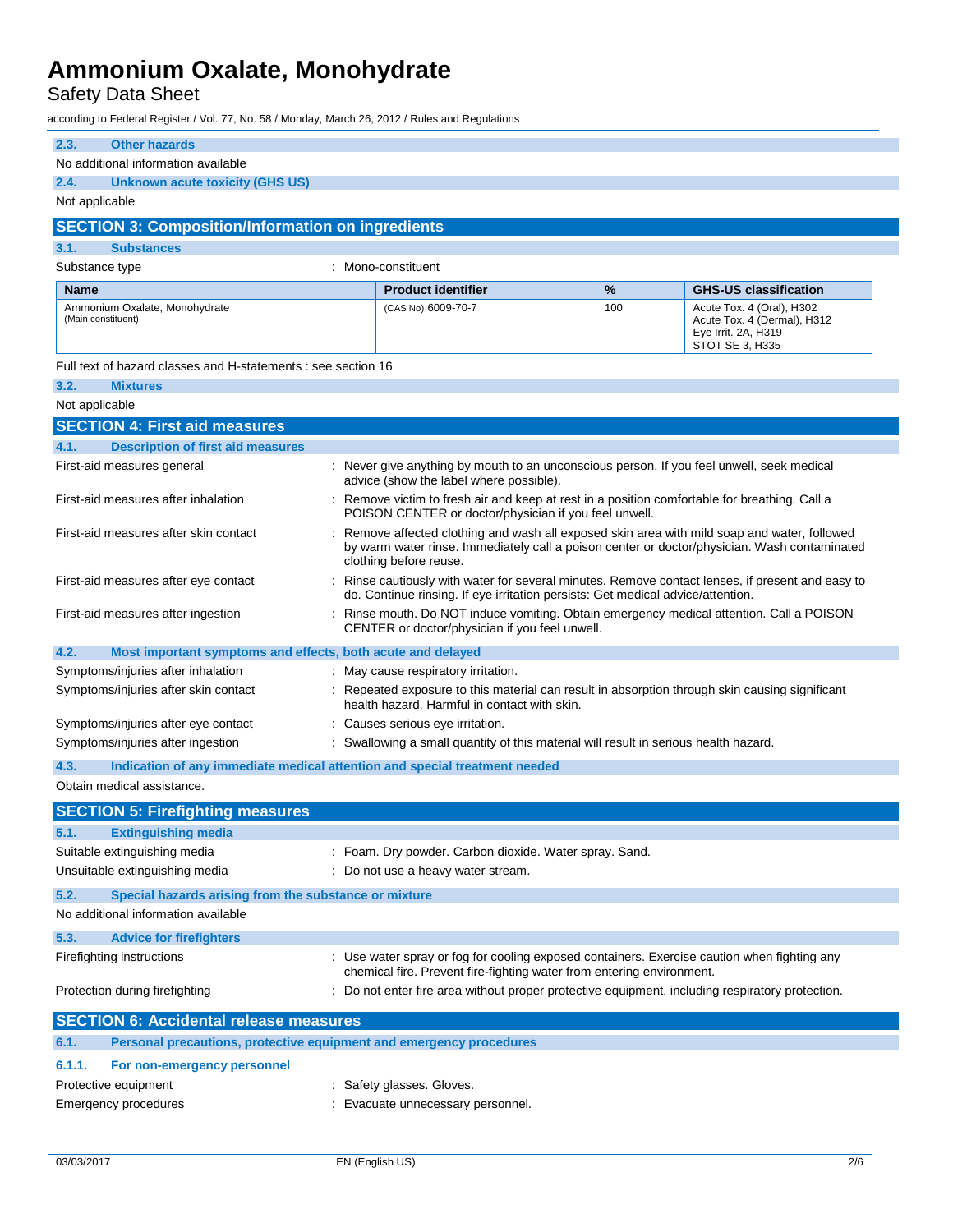## Safety Data Sheet

according to Federal Register / Vol. 77, No. 58 / Monday, March 26, 2012 / Rules and Regulations

| 2.3.<br><b>Other hazards</b>                                                                                                                                                                                              |                                                                                                                                                                                                                      |     |                                                                                                    |  |
|---------------------------------------------------------------------------------------------------------------------------------------------------------------------------------------------------------------------------|----------------------------------------------------------------------------------------------------------------------------------------------------------------------------------------------------------------------|-----|----------------------------------------------------------------------------------------------------|--|
| No additional information available                                                                                                                                                                                       |                                                                                                                                                                                                                      |     |                                                                                                    |  |
| 2.4.<br>Unknown acute toxicity (GHS US)                                                                                                                                                                                   |                                                                                                                                                                                                                      |     |                                                                                                    |  |
|                                                                                                                                                                                                                           | Not applicable                                                                                                                                                                                                       |     |                                                                                                    |  |
| <b>SECTION 3: Composition/Information on ingredients</b>                                                                                                                                                                  |                                                                                                                                                                                                                      |     |                                                                                                    |  |
| 3.1.<br><b>Substances</b>                                                                                                                                                                                                 |                                                                                                                                                                                                                      |     |                                                                                                    |  |
| Substance type                                                                                                                                                                                                            | : Mono-constituent                                                                                                                                                                                                   |     |                                                                                                    |  |
| <b>Name</b>                                                                                                                                                                                                               | <b>Product identifier</b>                                                                                                                                                                                            | %   | <b>GHS-US classification</b>                                                                       |  |
| Ammonium Oxalate, Monohydrate<br>(Main constituent)                                                                                                                                                                       | (CAS No) 6009-70-7                                                                                                                                                                                                   | 100 | Acute Tox. 4 (Oral), H302<br>Acute Tox. 4 (Dermal), H312<br>Eye Irrit. 2A, H319<br>STOT SE 3, H335 |  |
| Full text of hazard classes and H-statements : see section 16                                                                                                                                                             |                                                                                                                                                                                                                      |     |                                                                                                    |  |
| 3.2.<br><b>Mixtures</b>                                                                                                                                                                                                   |                                                                                                                                                                                                                      |     |                                                                                                    |  |
| Not applicable                                                                                                                                                                                                            |                                                                                                                                                                                                                      |     |                                                                                                    |  |
| <b>SECTION 4: First aid measures</b>                                                                                                                                                                                      |                                                                                                                                                                                                                      |     |                                                                                                    |  |
| <b>Description of first aid measures</b><br>4.1.                                                                                                                                                                          |                                                                                                                                                                                                                      |     |                                                                                                    |  |
| First-aid measures general                                                                                                                                                                                                | : Never give anything by mouth to an unconscious person. If you feel unwell, seek medical<br>advice (show the label where possible).                                                                                 |     |                                                                                                    |  |
| First-aid measures after inhalation                                                                                                                                                                                       | Remove victim to fresh air and keep at rest in a position comfortable for breathing. Call a<br>POISON CENTER or doctor/physician if you feel unwell.                                                                 |     |                                                                                                    |  |
| First-aid measures after skin contact                                                                                                                                                                                     | Remove affected clothing and wash all exposed skin area with mild soap and water, followed<br>by warm water rinse. Immediately call a poison center or doctor/physician. Wash contaminated<br>clothing before reuse. |     |                                                                                                    |  |
| First-aid measures after eye contact<br>Rinse cautiously with water for several minutes. Remove contact lenses, if present and easy to<br>do. Continue rinsing. If eye irritation persists: Get medical advice/attention. |                                                                                                                                                                                                                      |     |                                                                                                    |  |
| First-aid measures after ingestion                                                                                                                                                                                        | Rinse mouth. Do NOT induce vomiting. Obtain emergency medical attention. Call a POISON<br>CENTER or doctor/physician if you feel unwell.                                                                             |     |                                                                                                    |  |
| 4.2.<br>Most important symptoms and effects, both acute and delayed                                                                                                                                                       |                                                                                                                                                                                                                      |     |                                                                                                    |  |
| Symptoms/injuries after inhalation                                                                                                                                                                                        | : May cause respiratory irritation.                                                                                                                                                                                  |     |                                                                                                    |  |
| Symptoms/injuries after skin contact                                                                                                                                                                                      | : Repeated exposure to this material can result in absorption through skin causing significant<br>health hazard. Harmful in contact with skin.                                                                       |     |                                                                                                    |  |
| Symptoms/injuries after eye contact                                                                                                                                                                                       | : Causes serious eye irritation.                                                                                                                                                                                     |     |                                                                                                    |  |
| Symptoms/injuries after ingestion                                                                                                                                                                                         | : Swallowing a small quantity of this material will result in serious health hazard.                                                                                                                                 |     |                                                                                                    |  |
| 4.3.<br>Indication of any immediate medical attention and special treatment needed                                                                                                                                        |                                                                                                                                                                                                                      |     |                                                                                                    |  |
| Obtain medical assistance.                                                                                                                                                                                                |                                                                                                                                                                                                                      |     |                                                                                                    |  |
| <b>SECTION 5: Firefighting measures</b>                                                                                                                                                                                   |                                                                                                                                                                                                                      |     |                                                                                                    |  |
| <b>Extinguishing media</b><br>5.1.                                                                                                                                                                                        |                                                                                                                                                                                                                      |     |                                                                                                    |  |
| Suitable extinguishing media                                                                                                                                                                                              | : Foam. Dry powder. Carbon dioxide. Water spray. Sand.                                                                                                                                                               |     |                                                                                                    |  |
| Unsuitable extinguishing media                                                                                                                                                                                            | : Do not use a heavy water stream.                                                                                                                                                                                   |     |                                                                                                    |  |
| 5.2.<br>Special hazards arising from the substance or mixture                                                                                                                                                             |                                                                                                                                                                                                                      |     |                                                                                                    |  |
| No additional information available                                                                                                                                                                                       |                                                                                                                                                                                                                      |     |                                                                                                    |  |
| 5.3.<br><b>Advice for firefighters</b>                                                                                                                                                                                    |                                                                                                                                                                                                                      |     |                                                                                                    |  |
| Firefighting instructions                                                                                                                                                                                                 | : Use water spray or fog for cooling exposed containers. Exercise caution when fighting any<br>chemical fire. Prevent fire-fighting water from entering environment.                                                 |     |                                                                                                    |  |
| Protection during firefighting                                                                                                                                                                                            | Do not enter fire area without proper protective equipment, including respiratory protection.                                                                                                                        |     |                                                                                                    |  |
| <b>SECTION 6: Accidental release measures</b>                                                                                                                                                                             |                                                                                                                                                                                                                      |     |                                                                                                    |  |
| Personal precautions, protective equipment and emergency procedures<br>6.1.                                                                                                                                               |                                                                                                                                                                                                                      |     |                                                                                                    |  |
| 6.1.1.<br>For non-emergency personnel                                                                                                                                                                                     |                                                                                                                                                                                                                      |     |                                                                                                    |  |
| Protective equipment                                                                                                                                                                                                      | : Safety glasses. Gloves.                                                                                                                                                                                            |     |                                                                                                    |  |
| Emergency procedures                                                                                                                                                                                                      | : Evacuate unnecessary personnel.                                                                                                                                                                                    |     |                                                                                                    |  |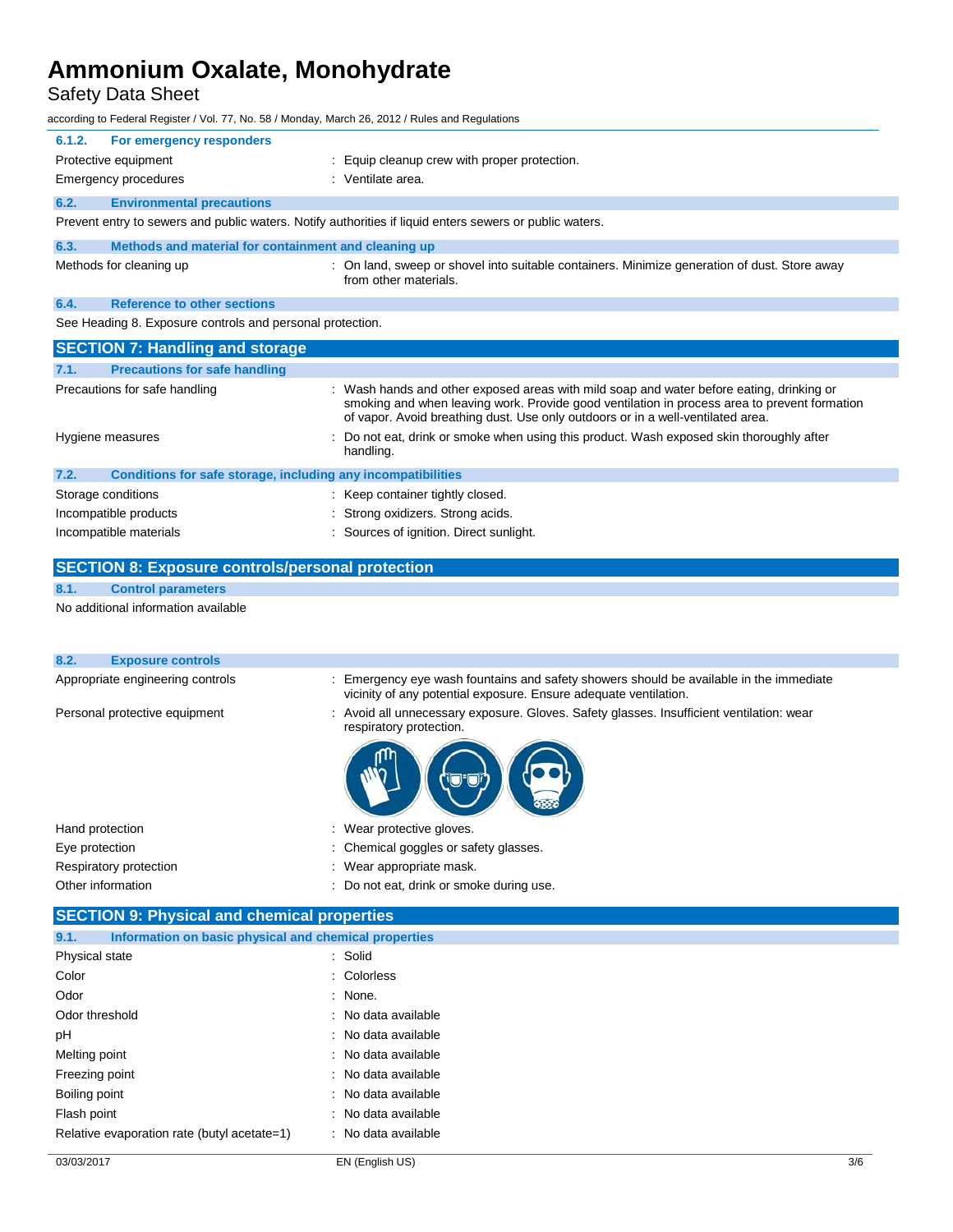Safety Data Sheet

according to Federal Register / Vol. 77, No. 58 / Monday, March 26, 2012 / Rules and Regulations

| 6.1.2. | For emergency responders                                  |                                                                                                                       |
|--------|-----------------------------------------------------------|-----------------------------------------------------------------------------------------------------------------------|
|        | Protective equipment                                      | : Equip cleanup crew with proper protection.                                                                          |
|        | <b>Emergency procedures</b>                               | : Ventilate area.                                                                                                     |
| 6.2.   | <b>Environmental precautions</b>                          |                                                                                                                       |
|        |                                                           | Prevent entry to sewers and public waters. Notify authorities if liquid enters sewers or public waters.               |
| 6.3.   | Methods and material for containment and cleaning up      |                                                                                                                       |
|        | Methods for cleaning up                                   | : On land, sweep or shovel into suitable containers. Minimize generation of dust. Store away<br>from other materials. |
| 6.4.   | <b>Reference to other sections</b>                        |                                                                                                                       |
|        | See Heading 8. Exposure controls and personal protection. |                                                                                                                       |
|        | <b>SECTION 7: Handling and storage</b>                    |                                                                                                                       |
| 7.1.   | <b>Precautions for safe handling</b>                      |                                                                                                                       |
|        | Precautions for safe handling                             | : Wash hands and other exposed areas with mild soap and water before eating, drinking or                              |

| <b>I</b> recaditoris for sale Handling |                                                              | $\cdot$ was riggited to the cyposed areas will find suap and water before eating, uninvirig or<br>smoking and when leaving work. Provide good ventilation in process area to prevent formation<br>of vapor. Avoid breathing dust. Use only outdoors or in a well-ventilated area. |  |  |
|----------------------------------------|--------------------------------------------------------------|-----------------------------------------------------------------------------------------------------------------------------------------------------------------------------------------------------------------------------------------------------------------------------------|--|--|
|                                        | Hygiene measures                                             | : Do not eat, drink or smoke when using this product. Wash exposed skin thoroughly after<br>handling.                                                                                                                                                                             |  |  |
| 7.2.                                   | Conditions for safe storage, including any incompatibilities |                                                                                                                                                                                                                                                                                   |  |  |
|                                        | Storage conditions                                           | : Keep container tightly closed.                                                                                                                                                                                                                                                  |  |  |
|                                        | Incompatible products                                        | : Strong oxidizers. Strong acids.                                                                                                                                                                                                                                                 |  |  |

| Incompatible materials |  | : Sources of ignition. Direct sunlight. |
|------------------------|--|-----------------------------------------|
|------------------------|--|-----------------------------------------|

### **SECTION 8: Exposure controls/personal protection**

#### **8.1. Control parameters**

No additional information available

| 8.2.<br><b>Exposure controls</b> |                                                                                                                                                            |
|----------------------------------|------------------------------------------------------------------------------------------------------------------------------------------------------------|
| Appropriate engineering controls | : Emergency eye wash fountains and safety showers should be available in the immediate<br>vicinity of any potential exposure. Ensure adequate ventilation. |
| Personal protective equipment    | : Avoid all unnecessary exposure. Gloves. Safety glasses. Insufficient ventilation: wear<br>respiratory protection.                                        |
|                                  |                                                                                                                                                            |
| Hand protection                  | : Wear protective gloves.                                                                                                                                  |
| Eye protection                   | : Chemical goggles or safety glasses.                                                                                                                      |
| Respiratory protection           | : Wear appropriate mask.                                                                                                                                   |
| Other information                | : Do not eat, drink or smoke during use.                                                                                                                   |
|                                  |                                                                                                                                                            |

### **SECTION 9: Physical and chemical properties**

| 9.1.           | Information on basic physical and chemical properties |                     |
|----------------|-------------------------------------------------------|---------------------|
| Physical state |                                                       | : Solid             |
| Color          |                                                       | : Colorless         |
| Odor           |                                                       | : None.             |
| Odor threshold |                                                       | : No data available |
| рH             |                                                       | : No data available |
| Melting point  |                                                       | : No data available |
| Freezing point |                                                       | : No data available |
| Boiling point  |                                                       | : No data available |
| Flash point    |                                                       | : No data available |
|                | Relative evaporation rate (butyl acetate=1)           | : No data available |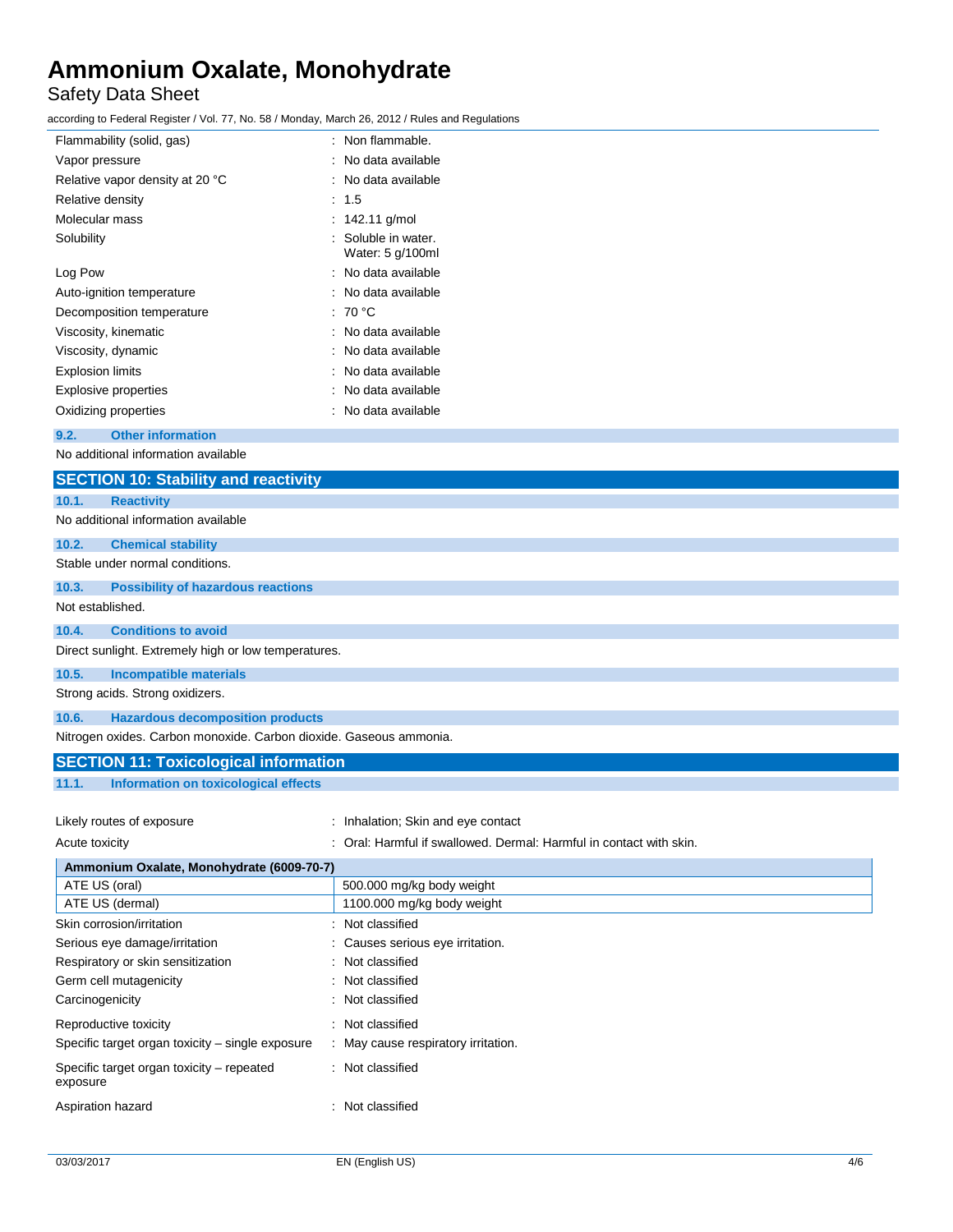## Safety Data Sheet

according to Federal Register / Vol. 77, No. 58 / Monday, March 26, 2012 / Rules and Regulations

| Flammability (solid, gas)       | : Non flammable.                      |
|---------------------------------|---------------------------------------|
| Vapor pressure                  | : No data available                   |
| Relative vapor density at 20 °C | : No data available                   |
| Relative density                | : 1.5                                 |
| Molecular mass                  | : $142.11$ g/mol                      |
| Solubility                      | Soluble in water.<br>Water: 5 g/100ml |
| Log Pow                         | : No data available                   |
| Auto-ignition temperature       | : No data available                   |
| Decomposition temperature       | : 70 °C                               |
| Viscosity, kinematic            | : No data available                   |
| Viscosity, dynamic              | No data available                     |
| <b>Explosion limits</b>         | : No data available                   |
| <b>Explosive properties</b>     | No data available                     |
| Oxidizing properties            | : No data available                   |
|                                 |                                       |

#### **9.2. Other information**

No additional information available

|                  | <b>SECTION 10: Stability and reactivity</b>                        |
|------------------|--------------------------------------------------------------------|
| 10.1.            | <b>Reactivity</b>                                                  |
|                  | No additional information available                                |
| 10.2.            | <b>Chemical stability</b>                                          |
|                  | Stable under normal conditions.                                    |
| 10.3.            | <b>Possibility of hazardous reactions</b>                          |
| Not established. |                                                                    |
| 10.4.            | <b>Conditions to avoid</b>                                         |
|                  | Direct sunlight. Extremely high or low temperatures.               |
| 10.5.            | <b>Incompatible materials</b>                                      |
|                  | Strong acids. Strong oxidizers.                                    |
| 10.6.            | <b>Hazardous decomposition products</b>                            |
|                  | Nitrogen oxides. Carbon monoxide. Carbon dioxide. Gaseous ammonia. |
|                  | <b>SECTION 11: Toxicological information</b>                       |
| 11.1.            | Information on toxicological effects                               |

| Likely routes of exposure                 | : Inhalation; Skin and eye contact                                  |
|-------------------------------------------|---------------------------------------------------------------------|
| Acute toxicity                            | : Oral: Harmful if swallowed. Dermal: Harmful in contact with skin. |
| Ammonium Oxalate, Monohydrate (6009-70-7) |                                                                     |
| ATE US (oral)                             | 500.000 mg/kg body weight                                           |
| ATE US (dermal)                           | 1100.000 mg/kg body weight                                          |

| ALE US (UIDI)                                         | <b>SUU.UUU IIIYAY DUUY WEIGHT</b>   |
|-------------------------------------------------------|-------------------------------------|
| ATE US (dermal)                                       | 1100.000 mg/kg body weight          |
| Skin corrosion/irritation                             | : Not classified                    |
| Serious eye damage/irritation                         | : Causes serious eye irritation.    |
| Respiratory or skin sensitization                     | : Not classified                    |
| Germ cell mutagenicity                                | : Not classified                    |
| Carcinogenicity                                       | : Not classified                    |
| Reproductive toxicity                                 | : Not classified                    |
| Specific target organ toxicity – single exposure      | : May cause respiratory irritation. |
| Specific target organ toxicity – repeated<br>exposure | : Not classified                    |
| Aspiration hazard                                     | : Not classified                    |
|                                                       |                                     |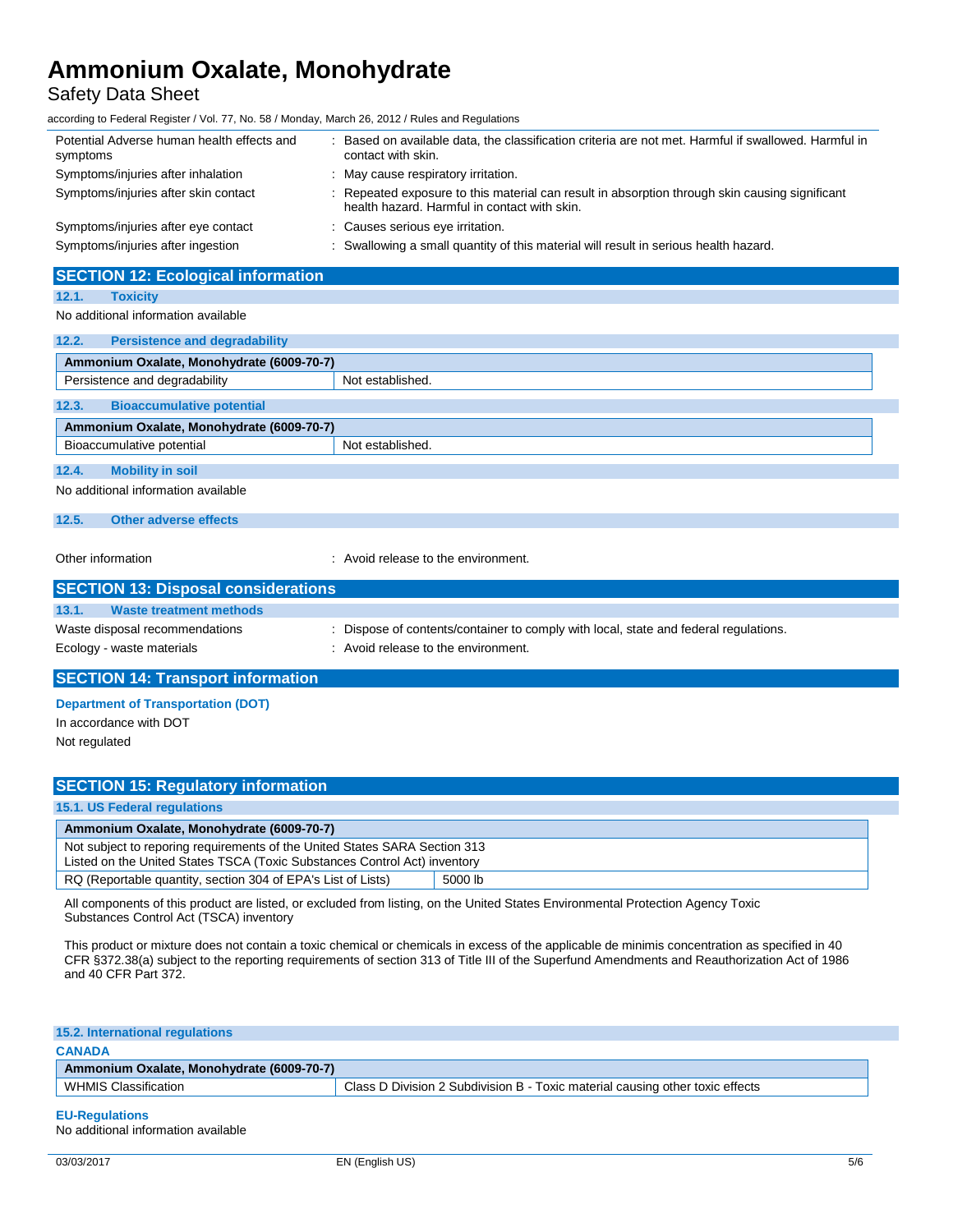### Safety Data Sheet

according to Federal Register / Vol. 77, No. 58 / Monday, March 26, 2012 / Rules and Regulations

| Potential Adverse human health effects and<br>symptoms | : Based on available data, the classification criteria are not met. Harmful if swallowed. Harmful in<br>contact with skin.                     |
|--------------------------------------------------------|------------------------------------------------------------------------------------------------------------------------------------------------|
| Symptoms/injuries after inhalation                     | : May cause respiratory irritation.                                                                                                            |
| Symptoms/injuries after skin contact                   | : Repeated exposure to this material can result in absorption through skin causing significant<br>health hazard. Harmful in contact with skin. |
| Symptoms/injuries after eye contact                    | : Causes serious eye irritation.                                                                                                               |
| Symptoms/injuries after ingestion                      | : Swallowing a small quantity of this material will result in serious health hazard.                                                           |

#### **SECTION 12: Ecological information**

#### **12.1. Toxicity**

No additional information available

| 12.2.<br><b>Persistence and degradability</b> |                  |  |
|-----------------------------------------------|------------------|--|
| Ammonium Oxalate, Monohydrate (6009-70-7)     |                  |  |
| Persistence and degradability                 | Not established. |  |
| 12.3.<br><b>Bioaccumulative potential</b>     |                  |  |
| Ammonium Oxalate, Monohydrate (6009-70-7)     |                  |  |
| Bioaccumulative potential                     | Not established. |  |
| 12.4.<br><b>Mobility in soil</b>              |                  |  |
| No additional information available           |                  |  |

#### **12.5. Other adverse effects**

Other information **COLOREG 2018** 2019 : Avoid release to the environment.

| <b>SECTION 13: Disposal considerations</b> |                                                                                      |
|--------------------------------------------|--------------------------------------------------------------------------------------|
| 13.1.<br>Waste treatment methods           |                                                                                      |
| Waste disposal recommendations             | : Dispose of contents/container to comply with local, state and federal regulations. |
| Ecology - waste materials                  | : Avoid release to the environment.                                                  |

#### **SECTION 14: Transport information**

**Department of Transportation (DOT)**

In accordance with DOT

Not regulated

### **SECTION 15: Regulatory information**

#### **15.1. US Federal regulations**

| Ammonium Oxalate, Monohydrate (6009-70-7)                                                                                                               |         |  |
|---------------------------------------------------------------------------------------------------------------------------------------------------------|---------|--|
| Not subject to reporing requirements of the United States SARA Section 313<br>Listed on the United States TSCA (Toxic Substances Control Act) inventory |         |  |
| RQ (Reportable quantity, section 304 of EPA's List of Lists)                                                                                            | 5000 lb |  |

All components of this product are listed, or excluded from listing, on the United States Environmental Protection Agency Toxic Substances Control Act (TSCA) inventory

This product or mixture does not contain a toxic chemical or chemicals in excess of the applicable de minimis concentration as specified in 40 CFR §372.38(a) subject to the reporting requirements of section 313 of Title III of the Superfund Amendments and Reauthorization Act of 1986 and 40 CFR Part 372.

| <b>15.2. International regulations</b>    |                                                                               |
|-------------------------------------------|-------------------------------------------------------------------------------|
| <b>CANADA</b>                             |                                                                               |
| Ammonium Oxalate, Monohydrate (6009-70-7) |                                                                               |
| WHMIS Classification                      | Class D Division 2 Subdivision B - Toxic material causing other toxic effects |
|                                           |                                                                               |

**EU-Regulations** No additional information available  $\mathbb{R}^3$